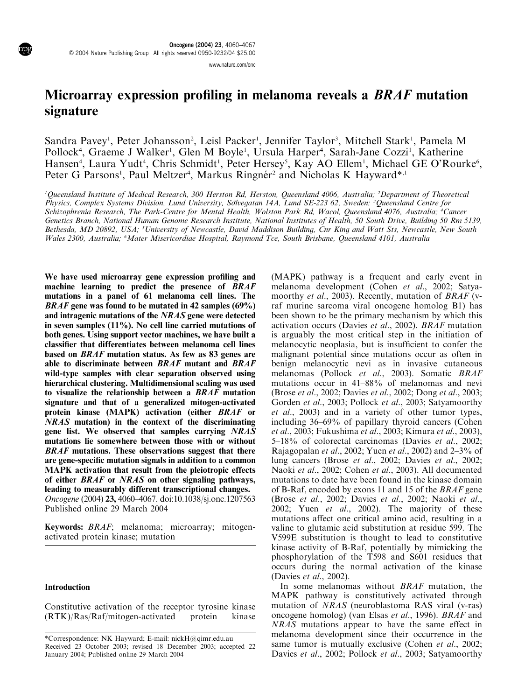www.nature.com/onc

# Microarray expression profiling in melanoma reveals a BRAF mutation signature

Sandra Pavey<sup>1</sup>, Peter Johansson<sup>2</sup>, Leisl Packer<sup>1</sup>, Jennifer Taylor<sup>3</sup>, Mitchell Stark<sup>1</sup>, Pamela M Pollock<sup>4</sup>, Graeme J Walker<sup>1</sup>, Glen M Boyle<sup>1</sup>, Ursula Harper<sup>4</sup>, Sarah-Jane Cozzi<sup>1</sup>, Katherine Hansen<sup>4</sup>, Laura Yudt<sup>4</sup>, Chris Schmidt<sup>1</sup>, Peter Hersey<sup>5</sup>, Kay AO Ellem<sup>1</sup>, Michael GE O'Rourke<sup>6</sup>, Peter G Parsons<sup>1</sup>, Paul Meltzer<sup>4</sup>, Markus Ringnér<sup>2</sup> and Nicholas K Hayward\*,<sup>1</sup>

<sup>1</sup>Queensland Institute of Medical Research, 300 Herston Rd, Herston, Queensland 4006, Australia; <sup>2</sup>Department of Theoretical Physics, Complex Systems Division, Lund University, Sölvegatan 14A, Lund SE-223 62, Sweden; <sup>3</sup>Queensland Centre for Schizophrenia Research, The Park-Centre for Mental Health, Wolston Park Rd, Wacol, Queensland 4076, Australia; <sup>4</sup>Cancer Genetics Branch, National Human Genome Research Institute, National Institutes of Health, 50 South Drive, Building 50 Rm 5139, Bethesda, MD 20892, USA; <sup>5</sup>University of Newcastle, David Maddison Building, Cnr King and Watt Sts, Newcastle, New South Wales 2300, Australia; <sup>6</sup>Mater Misericordiae Hospital, Raymond Tce, South Brisbane, Queensland 4101, Australia

We have used microarray gene expression profiling and machine learning to predict the presence of BRAF mutations in a panel of 61 melanoma cell lines. The *BRAF* gene was found to be mutated in 42 samples  $(69\%)$ and intragenic mutations of the NRAS gene were detected in seven samples (11%). No cell line carried mutations of both genes. Using support vector machines, we have built a classifier that differentiates between melanoma cell lines based on BRAF mutation status. As few as 83 genes are able to discriminate between BRAF mutant and BRAF wild-type samples with clear separation observed using hierarchical clustering. Multidimensional scaling was used to visualize the relationship between a BRAF mutation signature and that of a generalized mitogen-activated protein kinase (MAPK) activation (either BRAF or NRAS mutation) in the context of the discriminating gene list. We observed that samples carrying NRAS mutations lie somewhere between those with or without BRAF mutations. These observations suggest that there are gene-specific mutation signals in addition to a common MAPK activation that result from the pleiotropic effects of either BRAF or NRAS on other signaling pathways, leading to measurably different transcriptional changes. Oncogene (2004) 23, 4060–4067. doi:10.1038/sj.onc.1207563 Published online 29 March 2004

Keywords: BRAF; melanoma; microarray; mitogenactivated protein kinase; mutation

#### Introduction

Constitutive activation of the receptor tyrosine kinase (RTK)/Ras/Raf/mitogen-activated protein kinase (MAPK) pathway is a frequent and early event in melanoma development (Cohen et al., 2002; Satyamoorthy *et al.*, 2003). Recently, mutation of *BRAF* (vraf murine sarcoma viral oncogene homolog B1) has been shown to be the primary mechanism by which this activation occurs (Davies et al., 2002). BRAF mutation is arguably the most critical step in the initiation of melanocytic neoplasia, but is insufficient to confer the malignant potential since mutations occur as often in benign melanocytic nevi as in invasive cutaneous melanomas (Pollock et al., 2003). Somatic BRAF mutations occur in 41–88% of melanomas and nevi (Brose et al., 2002; Davies et al., 2002; Dong et al., 2003; Gorden et al., 2003; Pollock et al., 2003; Satyamoorthy et al., 2003) and in a variety of other tumor types, including 36–69% of papillary thyroid cancers (Cohen et al., 2003; Fukushima et al., 2003; Kimura et al., 2003), 5–18% of colorectal carcinomas (Davies et al., 2002; Rajagopalan et al., 2002; Yuen et al., 2002) and 2–3% of lung cancers (Brose et al., 2002; Davies et al., 2002; Naoki et al., 2002; Cohen et al., 2003). All documented mutations to date have been found in the kinase domain of B-Raf, encoded by exons 11 and 15 of the BRAF gene (Brose et al., 2002; Davies et al., 2002; Naoki et al., 2002; Yuen et al., 2002). The majority of these mutations affect one critical amino acid, resulting in a valine to glutamic acid substitution at residue 599. The V599E substitution is thought to lead to constitutive kinase activity of B-Raf, potentially by mimicking the phosphorylation of the T598 and S601 residues that occurs during the normal activation of the kinase (Davies et al., 2002).

In some melanomas without BRAF mutation, the MAPK pathway is constitutively activated through mutation of NRAS (neuroblastoma RAS viral (v-ras) oncogene homolog) (van Elsas et al., 1996). BRAF and NRAS mutations appear to have the same effect in melanoma development since their occurrence in the same tumor is mutually exclusive (Cohen et al., 2002; Davies et al., 2002; Pollock et al., 2003; Satyamoorthy

Received 23 October 2003; revised 18 December 2003; accepted 22 January 2004; Published online 29 March 2004 \*Correspondence: NK Hayward; E-mail: nickH@qimr.edu.au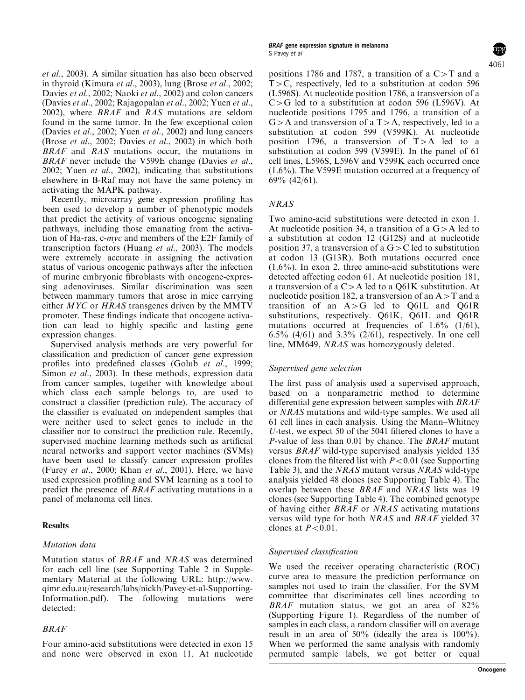et al., 2003). A similar situation has also been observed in thyroid (Kimura et al., 2003), lung (Brose et al., 2002; Davies et al., 2002; Naoki et al., 2002) and colon cancers (Davies et al., 2002; Rajagopalan et al., 2002; Yuen et al., 2002), where BRAF and RAS mutations are seldom found in the same tumor. In the few exceptional colon (Davies et al., 2002; Yuen et al., 2002) and lung cancers (Brose et al., 2002; Davies et al., 2002) in which both BRAF and RAS mutations occur, the mutations in BRAF never include the V599E change (Davies et al., 2002; Yuen et al., 2002), indicating that substitutions elsewhere in B-Raf may not have the same potency in activating the MAPK pathway.

Recently, microarray gene expression profiling has been used to develop a number of phenotypic models that predict the activity of various oncogenic signaling pathways, including those emanating from the activation of Ha-ras, c-myc and members of the E2F family of transcription factors (Huang et al., 2003). The models were extremely accurate in assigning the activation status of various oncogenic pathways after the infection of murine embryonic fibroblasts with oncogene-expressing adenoviruses. Similar discrimination was seen between mammary tumors that arose in mice carrying either MYC or HRAS transgenes driven by the MMTV promoter. These findings indicate that oncogene activation can lead to highly specific and lasting gene expression changes.

Supervised analysis methods are very powerful for classification and prediction of cancer gene expression profiles into predefined classes (Golub et al., 1999; Simon *et al.*, 2003). In these methods, expression data from cancer samples, together with knowledge about which class each sample belongs to, are used to construct a classifier (prediction rule). The accuracy of the classifier is evaluated on independent samples that were neither used to select genes to include in the classifier nor to construct the prediction rule. Recently, supervised machine learning methods such as artificial neural networks and support vector machines (SVMs) have been used to classify cancer expression profiles (Furey et al., 2000; Khan et al., 2001). Here, we have used expression profiling and SVM learning as a tool to predict the presence of BRAF activating mutations in a panel of melanoma cell lines.

# Results

## Mutation data

Mutation status of BRAF and NRAS was determined for each cell line (see Supporting Table 2 in Supplementary Material at the following URL: http://www. qimr.edu.au/research/labs/nickh/Pavey-et-al-Supporting-Information.pdf). The following mutations were detected:

## BRAF

Four amino-acid substitutions were detected in exon 15 and none were observed in exon 11. At nucleotide

positions 1786 and 1787, a transition of a  $C > T$  and a  $T>C$ , respectively, led to a substitution at codon 596 (L596S). At nucleotide position 1786, a transversion of a  $C > G$  led to a substitution at codon 596 (L596V). At nucleotide positions 1795 and 1796, a transition of a  $G>A$  and transversion of a T  $>A$ , respectively, led to a substitution at codon 599 (V599K). At nucleotide position 1796, a transversion of  $T>A$  led to a substitution at codon 599 (V599E). In the panel of 61 cell lines, L596S, L596V and V599K each occurred once  $(1.6\%)$ . The V599E mutation occurred at a frequency of 69% (42/61).

# NRAS

Two amino-acid substitutions were detected in exon 1. At nucleotide position 34, a transition of a  $G > A$  led to a substitution at codon 12 (G12S) and at nucleotide position 37, a transversion of a  $G > C$  led to substitution at codon 13 (G13R). Both mutations occurred once  $(1.6\%)$ . In exon 2, three amino-acid substitutions were detected affecting codon 61. At nucleotide position 181, a transversion of a  $C > A$  led to a  $O61K$  substitution. At nucleotide position 182, a transversion of an  $A > T$  and a transition of an  $A > G$  led to  $O61L$  and  $O61R$ substitutions, respectively. Q61K, Q61L and Q61R mutations occurred at frequencies of  $1.6\%$  (1/61), 6.5% (4/61) and 3.3% (2/61), respectively. In one cell line, MM649, NRAS was homozygously deleted.

## Supervised gene selection

The first pass of analysis used a supervised approach, based on a nonparametric method to determine differential gene expression between samples with BRAF or NRAS mutations and wild-type samples. We used all 61 cell lines in each analysis. Using the Mann–Whitney U-test, we expect 50 of the 5041 filtered clones to have a P-value of less than 0.01 by chance. The BRAF mutant versus BRAF wild-type supervised analysis yielded 135 clones from the filtered list with  $P < 0.01$  (see Supporting Table 3), and the NRAS mutant versus NRAS wild-type analysis yielded 48 clones (see Supporting Table 4). The overlap between these BRAF and NRAS lists was 19 clones (see Supporting Table 4). The combined genotype of having either BRAF or NRAS activating mutations versus wild type for both NRAS and BRAF yielded 37 clones at  $P < 0.01$ .

## Supervised classification

We used the receiver operating characteristic (ROC) curve area to measure the prediction performance on samples not used to train the classifier. For the SVM committee that discriminates cell lines according to  $BRAF$  mutation status, we got an area of  $82\%$ (Supporting Figure 1). Regardless of the number of samples in each class, a random classifier will on average result in an area of 50% (ideally the area is 100%). When we performed the same analysis with randomly permuted sample labels, we got better or equal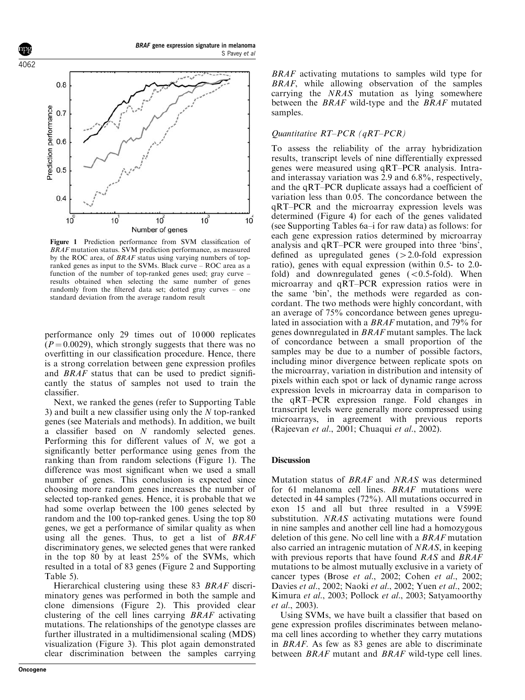

Figure 1 Prediction performance from SVM classification of BRAF mutation status. SVM prediction performance, as measured by the ROC area, of BRAF status using varying numbers of topranked genes as input to the SVMs. Black curve – ROC area as a function of the number of top-ranked genes used; gray curve – results obtained when selecting the same number of genes randomly from the filtered data set; dotted gray curves – one standard deviation from the average random result

performance only 29 times out of 10 000 replicates  $(P = 0.0029)$ , which strongly suggests that there was no overfitting in our classification procedure. Hence, there is a strong correlation between gene expression profiles and  $BRAF$  status that can be used to predict significantly the status of samples not used to train the classifier.

Next, we ranked the genes (refer to Supporting Table 3) and built a new classifier using only the N top-ranked genes (see Materials and methods). In addition, we built a classifier based on N randomly selected genes. Performing this for different values of  $N$ , we got a significantly better performance using genes from the ranking than from random selections (Figure 1). The difference was most significant when we used a small number of genes. This conclusion is expected since choosing more random genes increases the number of selected top-ranked genes. Hence, it is probable that we had some overlap between the 100 genes selected by random and the 100 top-ranked genes. Using the top 80 genes, we get a performance of similar quality as when using all the genes. Thus, to get a list of BRAF discriminatory genes, we selected genes that were ranked in the top 80 by at least 25% of the SVMs, which resulted in a total of 83 genes (Figure 2 and Supporting Table 5).

Hierarchical clustering using these 83 BRAF discriminatory genes was performed in both the sample and clone dimensions (Figure 2). This provided clear clustering of the cell lines carrying BRAF activating mutations. The relationships of the genotype classes are further illustrated in a multidimensional scaling (MDS) visualization (Figure 3). This plot again demonstrated clear discrimination between the samples carrying

BRAF activating mutations to samples wild type for BRAF, while allowing observation of the samples carrying the NRAS mutation as lying somewhere between the BRAF wild-type and the BRAF mutated samples.

## Quantitative RT–PCR (qRT–PCR)

To assess the reliability of the array hybridization results, transcript levels of nine differentially expressed genes were measured using qRT–PCR analysis. Intraand interassay variation was 2.9 and 6.8%, respectively, and the qRT–PCR duplicate assays had a coefficient of variation less than 0.05. The concordance between the qRT–PCR and the microarray expression levels was determined (Figure 4) for each of the genes validated (see Supporting Tables 6a–i for raw data) as follows: for each gene expression ratios determined by microarray analysis and qRT–PCR were grouped into three 'bins', defined as upregulated genes  $(>2.0$ -fold expression ratio), genes with equal expression (within 0.5- to 2.0 fold) and downregulated genes  $(<0.5$ -fold). When microarray and qRT–PCR expression ratios were in the same 'bin', the methods were regarded as concordant. The two methods were highly concordant, with an average of 75% concordance between genes upregulated in association with a BRAF mutation, and 79% for genes downregulated in BRAF mutant samples. The lack of concordance between a small proportion of the samples may be due to a number of possible factors, including minor divergence between replicate spots on the microarray, variation in distribution and intensity of pixels within each spot or lack of dynamic range across expression levels in microarray data in comparison to the qRT–PCR expression range. Fold changes in transcript levels were generally more compressed using microarrays, in agreement with previous reports (Rajeevan et al., 2001; Chuaqui et al., 2002).

# Discussion

Mutation status of BRAF and NRAS was determined for 61 melanoma cell lines. BRAF mutations were detected in 44 samples (72%). All mutations occurred in exon 15 and all but three resulted in a V599E substitution. NRAS activating mutations were found in nine samples and another cell line had a homozygous deletion of this gene. No cell line with a BRAF mutation also carried an intragenic mutation of NRAS, in keeping with previous reports that have found RAS and BRAF mutations to be almost mutually exclusive in a variety of cancer types (Brose et al., 2002; Cohen et al., 2002; Davies et al., 2002; Naoki et al., 2002; Yuen et al., 2002; Kimura et al., 2003; Pollock et al., 2003; Satyamoorthy et al., 2003).

Using SVMs, we have built a classifier that based on gene expression profiles discriminates between melanoma cell lines according to whether they carry mutations in BRAF. As few as 83 genes are able to discriminate between *BRAF* mutant and *BRAF* wild-type cell lines.

4062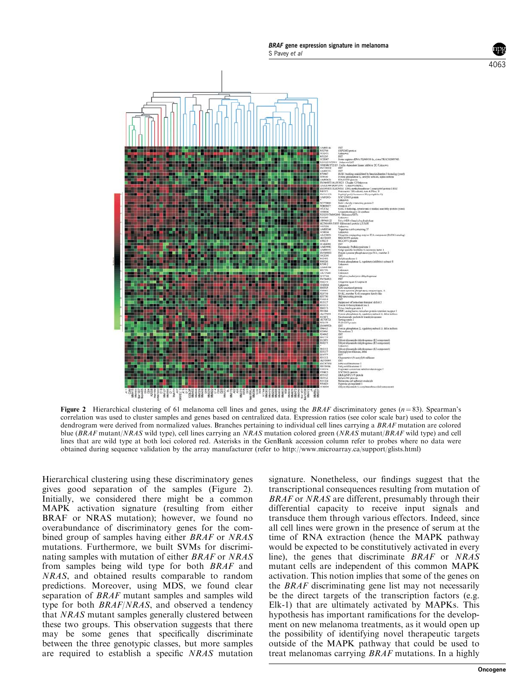BRAF gene expression signature in melanoma S Pavey et al



Figure 2 Hierarchical clustering of 61 melanoma cell lines and genes, using the BRAF discriminatory genes ( $n = 83$ ). Spearman's correlation was used to cluster samples and genes based on centralized data. Expression ratios (see color scale bar) used to color the dendrogram were derived from normalized values. Branches pertaining to individual cell lines carrying a BRAF mutation are colored blue (BRAF mutant/NRAS wild type), cell lines carrying an NRAS mutation colored green (NRAS mutant/BRAF wild type) and cell lines that are wild type at both loci colored red. Asterisks in the GenBank accession column refer to probes where no data were obtained during sequence validation by the array manufacturer (refer to http://www.microarray.ca/support/glists.html)

Hierarchical clustering using these discriminatory genes gives good separation of the samples (Figure 2). Initially, we considered there might be a common MAPK activation signature (resulting from either BRAF or NRAS mutation); however, we found no overabundance of discriminatory genes for the combined group of samples having either BRAF or NRAS mutations. Furthermore, we built SVMs for discriminating samples with mutation of either BRAF or NRAS from samples being wild type for both BRAF and NRAS, and obtained results comparable to random predictions. Moreover, using MDS, we found clear separation of BRAF mutant samples and samples wild type for both BRAF/NRAS, and observed a tendency that NRAS mutant samples generally clustered between these two groups. This observation suggests that there may be some genes that specifically discriminate between the three genotypic classes, but more samples are required to establish a specific NRAS mutation

signature. Nonetheless, our findings suggest that the transcriptional consequences resulting from mutation of BRAF or NRAS are different, presumably through their differential capacity to receive input signals and transduce them through various effectors. Indeed, since all cell lines were grown in the presence of serum at the time of RNA extraction (hence the MAPK pathway would be expected to be constitutively activated in every line), the genes that discriminate BRAF or NRAS mutant cells are independent of this common MAPK activation. This notion implies that some of the genes on the BRAF discriminating gene list may not necessarily be the direct targets of the transcription factors (e.g. Elk-1) that are ultimately activated by MAPKs. This hypothesis has important ramifications for the development on new melanoma treatments, as it would open up the possibility of identifying novel therapeutic targets outside of the MAPK pathway that could be used to treat melanomas carrying BRAF mutations. In a highly

4063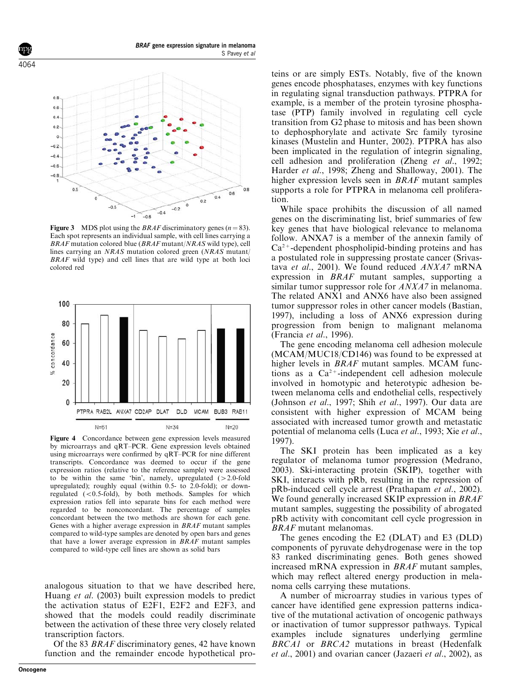

Figure 3 MDS plot using the *BRAF* discriminatory genes ( $n = 83$ ). Each spot represents an individual sample, with cell lines carrying a BRAF mutation colored blue (BRAF mutant/NRAS wild type), cell lines carrying an NRAS mutation colored green (NRAS mutant/ BRAF wild type) and cell lines that are wild type at both loci colored red



Figure 4 Concordance between gene expression levels measured by microarrays and qRT–PCR. Gene expression levels obtained using microarrays were confirmed by qRT–PCR for nine different transcripts. Concordance was deemed to occur if the gene expression ratios (relative to the reference sample) were assessed to be within the same 'bin', namely, upregulated  $(>2.0\text{-}fold$ upregulated); roughly equal (within 0.5- to 2.0-fold); or downregulated  $(<0.5$ -fold), by both methods. Samples for which expression ratios fell into separate bins for each method were regarded to be nonconcordant. The percentage of samples concordant between the two methods are shown for each gene. Genes with a higher average expression in BRAF mutant samples compared to wild-type samples are denoted by open bars and genes that have a lower average expression in BRAF mutant samples compared to wild-type cell lines are shown as solid bars

analogous situation to that we have described here, Huang et al. (2003) built expression models to predict the activation status of E2F1, E2F2 and E2F3, and showed that the models could readily discriminate between the activation of these three very closely related transcription factors.

Of the 83 BRAF discriminatory genes, 42 have known function and the remainder encode hypothetical proteins or are simply ESTs. Notably, five of the known genes encode phosphatases, enzymes with key functions in regulating signal transduction pathways. PTPRA for example, is a member of the protein tyrosine phosphatase (PTP) family involved in regulating cell cycle transition from G2 phase to mitosis and has been shown to dephosphorylate and activate Src family tyrosine kinases (Mustelin and Hunter, 2002). PTPRA has also been implicated in the regulation of integrin signaling, cell adhesion and proliferation (Zheng et al., 1992; Harder et al., 1998; Zheng and Shalloway, 2001). The higher expression levels seen in BRAF mutant samples supports a role for PTPRA in melanoma cell proliferation.

While space prohibits the discussion of all named genes on the discriminating list, brief summaries of few key genes that have biological relevance to melanoma follow. ANXA7 is a member of the annexin family of  $Ca<sup>2+</sup>$ -dependent phospholipid-binding proteins and has a postulated role in suppressing prostate cancer (Srivastava et al., 2001). We found reduced ANXA7 mRNA expression in BRAF mutant samples, supporting a similar tumor suppressor role for *ANXA7* in melanoma. The related ANX1 and ANX6 have also been assigned tumor suppressor roles in other cancer models (Bastian, 1997), including a loss of ANX6 expression during progression from benign to malignant melanoma (Francia et al., 1996).

The gene encoding melanoma cell adhesion molecule (MCAM/MUC18/CD146) was found to be expressed at higher levels in BRAF mutant samples. MCAM functions as a  $Ca^{2+}$ -independent cell adhesion molecule involved in homotypic and heterotypic adhesion between melanoma cells and endothelial cells, respectively (Johnson et al., 1997; Shih et al., 1997). Our data are consistent with higher expression of MCAM being associated with increased tumor growth and metastatic potential of melanoma cells (Luca et al., 1993; Xie et al., 1997).

The SKI protein has been implicated as a key regulator of melanoma tumor progression (Medrano, 2003). Ski-interacting protein (SKIP), together with SKI, interacts with pRb, resulting in the repression of pRb-induced cell cycle arrest (Prathapam et al., 2002). We found generally increased SKIP expression in *BRAF* mutant samples, suggesting the possibility of abrogated pRb activity with concomitant cell cycle progression in BRAF mutant melanomas.

The genes encoding the E2 (DLAT) and E3 (DLD) components of pyruvate dehydrogenase were in the top 83 ranked discriminating genes. Both genes showed increased mRNA expression in BRAF mutant samples, which may reflect altered energy production in melanoma cells carrying these mutations.

A number of microarray studies in various types of cancer have identified gene expression patterns indicative of the mutational activation of oncogenic pathways or inactivation of tumor suppressor pathways. Typical examples include signatures underlying germline BRCA1 or BRCA2 mutations in breast (Hedenfalk et al., 2001) and ovarian cancer (Jazaeri et al., 2002), as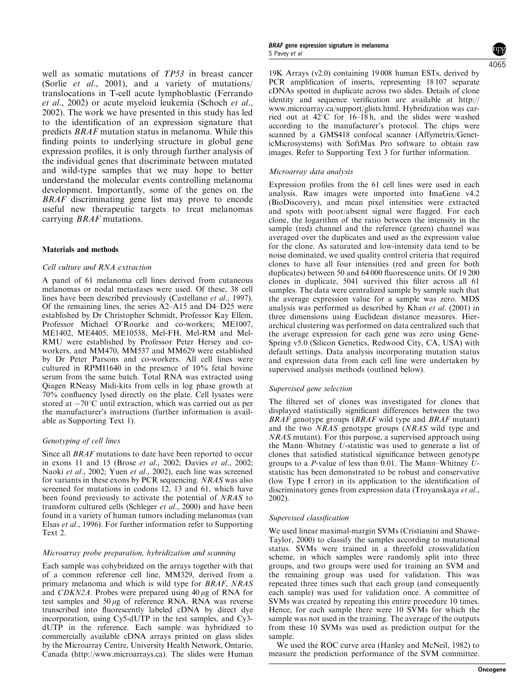well as somatic mutations of TP53 in breast cancer (Sorlie et al., 2001), and a variety of mutations/ translocations in T-cell acute lymphoblastic (Ferrando et al., 2002) or acute myeloid leukemia (Schoch et al., 2002). The work we have presented in this study has led to the identification of an expression signature that predicts BRAF mutation status in melanoma. While this finding points to underlying structure in global gene expression profiles, it is only through further analysis of the individual genes that discriminate between mutated and wild-type samples that we may hope to better understand the molecular events controlling melanoma development. Importantly, some of the genes on the BRAF discriminating gene list may prove to encode useful new therapeutic targets to treat melanomas carrying BRAF mutations.

#### Materials and methods

### Cell culture and RNA extraction

A panel of 61 melanoma cell lines derived from cutaneous melanomas or nodal metastases were used. Of these, 38 cell lines have been described previously (Castellano et al., 1997). Of the remaining lines, the series A2–A15 and D4–D25 were established by Dr Christopher Schmidt, Professor Kay Ellem, Professor Michael O'Rourke and co-workers; ME1007, ME1402, ME4405, ME10538, Mel-FH, Mel-RM and Mel-RMUwere established by Professor Peter Hersey and coworkers, and MM470, MM537 and MM629 were established by Dr Peter Parsons and co-workers. All cell lines were cultured in RPMI1640 in the presence of 10% fetal bovine serum from the same batch. Total RNA was extracted using Qiagen RNeasy Midi-kits from cells in log phase growth at 70% confluency lysed directly on the plate. Cell lysates were stored at  $-70^{\circ}$ C until extraction, which was carried out as per the manufacturer's instructions (further information is available as Supporting Text 1).

## Genotyping of cell lines

Since all BRAF mutations to date have been reported to occur in exons 11 and 15 (Brose et al., 2002; Davies et al., 2002; Naoki et al., 2002; Yuen et al., 2002), each line was screened for variants in these exons by PCR sequencing. NRAS was also screened for mutations in codons 12, 13 and 61, which have been found previously to activate the potential of NRAS to transform cultured cells (Schleger et al., 2000) and have been found in a variety of human tumors including melanomas (van Elsas et al., 1996). For further information refer to Supporting Text 2.

#### Microarray probe preparation, hybridization and scanning

Each sample was cohybridized on the arrays together with that of a common reference cell line, MM329, derived from a primary melanoma and which is wild type for BRAF, NRAS and *CDKN2A*. Probes were prepared using  $40 \mu$ g of RNA for test samples and  $50 \mu g$  of reference RNA. RNA was reverse transcribed into fluorescently labeled cDNA by direct dye incorporation, using Cy5-dUTP in the test samples, and Cy3 dUTP in the reference. Each sample was hybridized to commercially available cDNA arrays printed on glass slides by the Microarray Centre, University Health Network, Ontario, Canada (http://www.microarrays.ca). The slides were Human

4065

19K Arrays (v2.0) containing 19 008 human ESTs, derived by PCR amplification of inserts, representing 18 107 separate cDNAs spotted in duplicate across two slides. Details of clone identity and sequence verification are available at http:// www.microarray.ca/support/glists.html. Hybridization was carried out at  $42^{\circ}$ C for 16–18 h, and the slides were washed according to the manufacturer's protocol. The chips were scanned by a GMS418 confocal scanner (Affymetrix/GeneticMicrosystems) with SoftMax Pro software to obtain raw images. Refer to Supporting Text 3 for further information.

#### Microarray data analysis

Expression profiles from the 61 cell lines were used in each analysis. Raw images were imported into ImaGene v4.2 (BioDiscovery), and mean pixel intensities were extracted and spots with poor/absent signal were flagged. For each clone, the logarithm of the ratio between the intensity in the sample (red) channel and the reference (green) channel was averaged over the duplicates and used as the expression value for the clone. As saturated and low-intensity data tend to be noise dominated, we used quality control criteria that required clones to have all four intensities (red and green for both duplicates) between 50 and 64 000 fluorescence units. Of 19 200 clones in duplicate, 5041 survived this filter across all 61 samples. The data were centralized sample by sample such that the average expression value for a sample was zero. MDS analysis was performed as described by Khan et al. (2001) in three dimensions using Euclidean distance measures. Hierarchical clustering was performed on data centralized such that the average expression for each gene was zero using Gene-Spring v5.0 (Silicon Genetics, Redwood City, CA, USA) with default settings. Data analysis incorporating mutation status and expression data from each cell line were undertaken by supervised analysis methods (outlined below).

#### Supervised gene selection

The filtered set of clones was investigated for clones that displayed statistically significant differences between the two BRAF genotype groups (BRAF wild type and BRAF mutant) and the two NRAS genotype groups (NRAS wild type and NRAS mutant). For this purpose, a supervised approach using the Mann–Whitney U-statistic was used to generate a list of clones that satisfied statistical significance between genotype groups to a P-value of less than 0.01. The Mann–Whitney Ustatistic has been demonstrated to be robust and conservative (low Type I error) in its application to the identification of discriminatory genes from expression data (Troyanskaya et al., 2002).

#### Supervised classification

We used linear maximal-margin SVMs (Cristianini and Shawe-Taylor, 2000) to classify the samples according to mutational status. SVMs were trained in a threefold crossvalidation scheme, in which samples were randomly split into three groups, and two groups were used for training an SVM and the remaining group was used for validation. This was repeated three times such that each group (and consequently each sample) was used for validation once. A committee of SVMs was created by repeating this entire procedure 10 times. Hence, for each sample there were 10 SVMs for which the sample was not used in the training. The average of the outputs from these 10 SVMs was used as prediction output for the sample.

We used the ROC curve area (Hanley and McNeil, 1982) to measure the prediction performance of the SVM committee.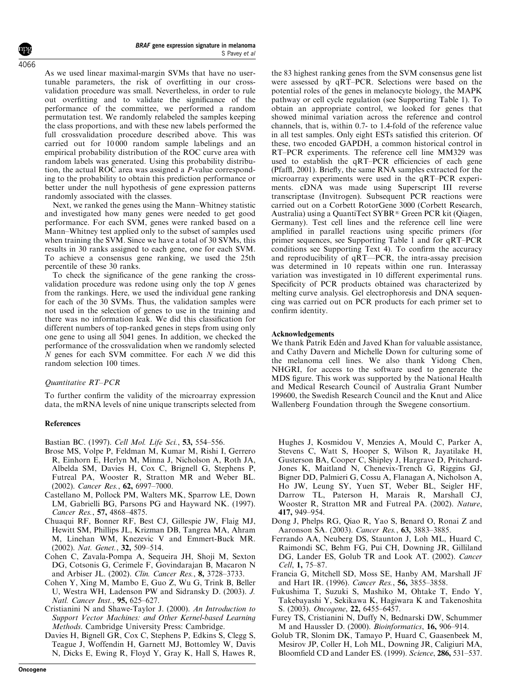As we used linear maximal-margin SVMs that have no usertunable parameters, the risk of overfitting in our crossvalidation procedure was small. Nevertheless, in order to rule out overfitting and to validate the significance of the performance of the committee, we performed a random permutation test. We randomly relabeled the samples keeping the class proportions, and with these new labels performed the full crossvalidation procedure described above. This was carried out for 10 000 random sample labelings and an empirical probability distribution of the ROC curve area with random labels was generated. Using this probability distribution, the actual ROC area was assigned a P-value corresponding to the probability to obtain this prediction performance or better under the null hypothesis of gene expression patterns randomly associated with the classes.

Next, we ranked the genes using the Mann–Whitney statistic and investigated how many genes were needed to get good performance. For each SVM, genes were ranked based on a Mann–Whitney test applied only to the subset of samples used when training the SVM. Since we have a total of 30 SVMs, this results in 30 ranks assigned to each gene, one for each SVM. To achieve a consensus gene ranking, we used the 25th percentile of these 30 ranks.

To check the significance of the gene ranking the crossvalidation procedure was redone using only the top  $N$  genes from the rankings. Here, we used the individual gene ranking for each of the 30 SVMs. Thus, the validation samples were not used in the selection of genes to use in the training and there was no information leak. We did this classification for different numbers of top-ranked genes in steps from using only one gene to using all 5041 genes. In addition, we checked the performance of the crossvalidation when we randomly selected  $N$  genes for each SVM committee. For each  $N$  we did this random selection 100 times.

# Quantitative RT–PCR

To further confirm the validity of the microarray expression data, the mRNA levels of nine unique transcripts selected from

## References

- Bastian BC. (1997). Cell Mol. Life Sci., 53, 554–556.
- Brose MS, Volpe P, Feldman M, Kumar M, Rishi I, Gerrero R, Einhorn E, Herlyn M, Minna J, Nicholson A, Roth JA, Albelda SM, Davies H, Cox C, Brignell G, Stephens P, Futreal PA, Wooster R, Stratton MR and Weber BL. (2002). Cancer Res., 62, 6997–7000.
- Castellano M, Pollock PM, Walters MK, Sparrow LE, Down LM, Gabrielli BG, Parsons PG and Hayward NK. (1997). Cancer Res., 57, 4868–4875.
- Chuaqui RF, Bonner RF, Best CJ, Gillespie JW, Flaig MJ, Hewitt SM, Phillips JL, Krizman DB, Tangrea MA, Ahram M, Linehan WM, Knezevic V and Emmert-Buck MR. (2002). Nat. Genet., 32, 509–514.
- Cohen C, Zavala-Pompa A, Sequeira JH, Shoji M, Sexton DG, Cotsonis G, Cerimele F, Govindarajan B, Macaron N and Arbiser JL. (2002). Clin. Cancer Res., 8, 3728–3733.
- Cohen Y, Xing M, Mambo E, Guo Z, Wu G, Trink B, Beller U, Westra WH, Ladenson PW and Sidransky D. (2003). J. Natl. Cancer Inst., 95, 625–627.
- Cristianini N and Shawe-Taylor J. (2000). An Introduction to Support Vector Machines: and Other Kernel-based Learning Methods. Cambridge University Press: Cambridge.
- Davies H, Bignell GR, Cox C, Stephens P, Edkins S, Clegg S, Teague J, Woffendin H, Garnett MJ, Bottomley W, Davis N, Dicks E, Ewing R, Floyd Y, Gray K, Hall S, Hawes R,

the 83 highest ranking genes from the SVM consensus gene list were assessed by qRT–PCR. Selections were based on the potential roles of the genes in melanocyte biology, the MAPK pathway or cell cycle regulation (see Supporting Table 1). To obtain an appropriate control, we looked for genes that showed minimal variation across the reference and control channels, that is, within 0.7- to 1.4-fold of the reference value in all test samples. Only eight ESTs satisfied this criterion. Of these, two encoded GAPDH, a common historical control in RT–PCR experiments. The reference cell line MM329 was used to establish the qRT–PCR efficiencies of each gene (Pfaffl, 2001). Briefly, the same RNA samples extracted for the microarray experiments were used in the qRT–PCR experiments. cDNA was made using Superscript III reverse transcriptase (Invitrogen). Subsequent PCR reactions were carried out on a Corbett RotorGene 3000 (Corbett Research, Australia) using a QuantiTect SYBR<sup>®</sup> Green PCR kit (Qiagen, Germany). Test cell lines and the reference cell line were amplified in parallel reactions using specific primers (for primer sequences, see Supporting Table 1 and for qRT–PCR conditions see Supporting Text 4). To confirm the accuracy and reproducibility of qRT—PCR, the intra-assay precision was determined in 10 repeats within one run. Interassay variation was investigated in 10 different experimental runs. Specificity of PCR products obtained was characterized by melting curve analysis. Gel electrophoresis and DNA sequencing was carried out on PCR products for each primer set to confirm identity.

## Acknowledgements

We thank Patrik Edén and Javed Khan for valuable assistance, and Cathy Davern and Michelle Down for culturing some of the melanoma cell lines. We also thank Yidong Chen, NHGRI, for access to the software used to generate the MDS figure. This work was supported by the National Health and Medical Research Council of Australia Grant Number 199600, the Swedish Research Council and the Knut and Alice Wallenberg Foundation through the Swegene consortium.

Hughes J, Kosmidou V, Menzies A, Mould C, Parker A, Stevens C, Watt S, Hooper S, Wilson R, Jayatilake H, Gusterson BA, Cooper C, Shipley J, Hargrave D, Pritchard-Jones K, Maitland N, Chenevix-Trench G, Riggins GJ, Bigner DD, Palmieri G, Cossu A, Flanagan A, Nicholson A, Ho JW, Leung SY, Yuen ST, Weber BL, Seigler HF, Darrow TL, Paterson H, Marais R, Marshall CJ, Wooster R, Stratton MR and Futreal PA. (2002). Nature, 417, 949–954.

- Dong J, Phelps RG, Qiao R, Yao S, Benard O, Ronai Z and Aaronson SA. (2003). Cancer Res., 63, 3883–3885.
- Ferrando AA, Neuberg DS, Staunton J, Loh ML, Huard C, Raimondi SC, Behm FG, Pui CH, Downing JR, Gilliland DG, Lander ES, Golub TR and Look AT. (2002). Cancer Cell, 1, 75–87.
- Francia G, Mitchell SD, Moss SE, Hanby AM, Marshall JF and Hart IR. (1996). Cancer Res., 56, 3855–3858.
- Fukushima T, Suzuki S, Mashiko M, Ohtake T, Endo Y, Takebayashi Y, Sekikawa K, Hagiwara K and Takenoshita S. (2003). Oncogene, 22, 6455–6457.
- Furey TS, Cristianini N, Duffy N, Bednarski DW, Schummer M and Haussler D. (2000). Bioinformatics, 16, 906–914.
- Golub TR, Slonim DK, Tamayo P, Huard C, Gaasenbeek M, Mesirov JP, Coller H, Loh ML, Downing JR, Caligiuri MA, Bloomfield CD and Lander ES. (1999). Science, 286, 531–537.

4066